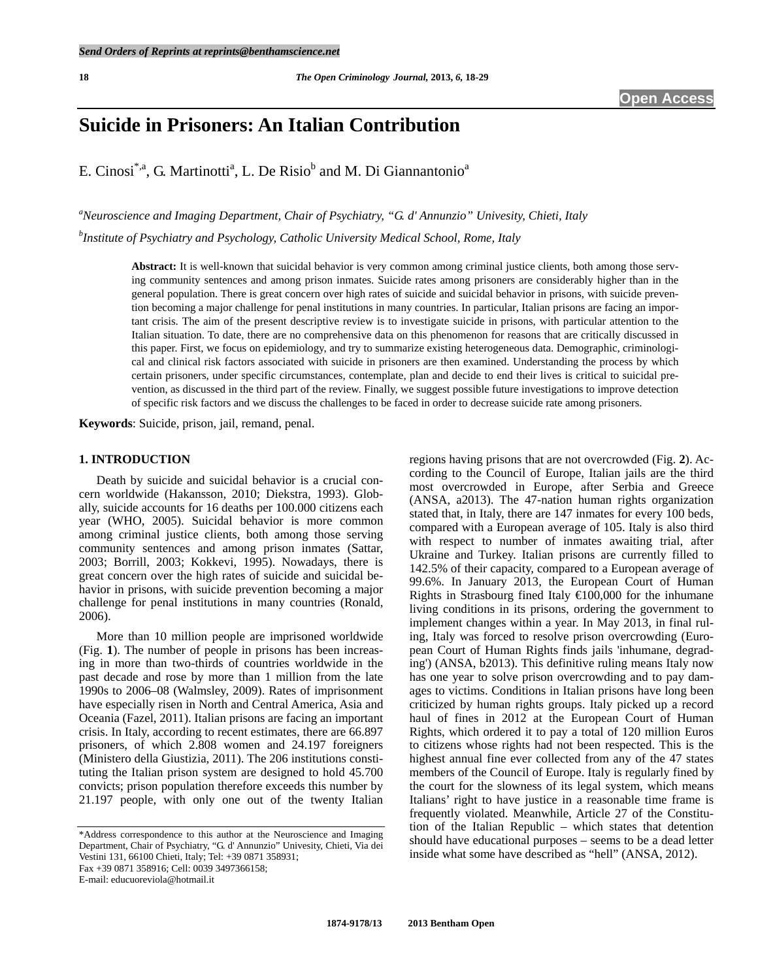# **Suicide in Prisoners: An Italian Contribution**

E. Cinosi<sup>\*,a</sup>, G. Martinotti<sup>a</sup>, L. De Risio<sup>b</sup> and M. Di Giannantonio<sup>a</sup>

*a Neuroscience and Imaging Department, Chair of Psychiatry, "G. d' Annunzio" Univesity, Chieti, Italy b Institute of Psychiatry and Psychology, Catholic University Medical School, Rome, Italy* 

> **Abstract:** It is well-known that suicidal behavior is very common among criminal justice clients, both among those serving community sentences and among prison inmates. Suicide rates among prisoners are considerably higher than in the general population. There is great concern over high rates of suicide and suicidal behavior in prisons, with suicide prevention becoming a major challenge for penal institutions in many countries. In particular, Italian prisons are facing an important crisis. The aim of the present descriptive review is to investigate suicide in prisons, with particular attention to the Italian situation. To date, there are no comprehensive data on this phenomenon for reasons that are critically discussed in this paper. First, we focus on epidemiology, and try to summarize existing heterogeneous data. Demographic, criminological and clinical risk factors associated with suicide in prisoners are then examined. Understanding the process by which certain prisoners, under specific circumstances, contemplate, plan and decide to end their lives is critical to suicidal prevention, as discussed in the third part of the review. Finally, we suggest possible future investigations to improve detection of specific risk factors and we discuss the challenges to be faced in order to decrease suicide rate among prisoners.

**Keywords**: Suicide, prison, jail, remand, penal.

#### **1. INTRODUCTION**

 Death by suicide and suicidal behavior is a crucial concern worldwide (Hakansson, 2010; Diekstra, 1993). Globally, suicide accounts for 16 deaths per 100.000 citizens each year (WHO, 2005). Suicidal behavior is more common among criminal justice clients, both among those serving community sentences and among prison inmates (Sattar, 2003; Borrill, 2003; Kokkevi, 1995). Nowadays, there is great concern over the high rates of suicide and suicidal behavior in prisons, with suicide prevention becoming a major challenge for penal institutions in many countries (Ronald, 2006).

 More than 10 million people are imprisoned worldwide (Fig. **1**). The number of people in prisons has been increasing in more than two-thirds of countries worldwide in the past decade and rose by more than 1 million from the late 1990s to 2006–08 (Walmsley, 2009). Rates of imprisonment have especially risen in North and Central America, Asia and Oceania (Fazel, 2011). Italian prisons are facing an important crisis. In Italy, according to recent estimates, there are 66.897 prisoners, of which 2.808 women and 24.197 foreigners (Ministero della Giustizia, 2011). The 206 institutions constituting the Italian prison system are designed to hold 45.700 convicts; prison population therefore exceeds this number by 21.197 people, with only one out of the twenty Italian

\*Address correspondence to this author at the Neuroscience and Imaging Department, Chair of Psychiatry, "G. d' Annunzio" Univesity, Chieti, Via dei Vestini 131, 66100 Chieti, Italy; Tel: +39 0871 358931; Fax +39 0871 358916; Cell: 0039 3497366158;

E-mail: educuoreviola@hotmail.it

regions having prisons that are not overcrowded (Fig. **2**). According to the Council of Europe, Italian jails are the third most overcrowded in Europe, after Serbia and Greece (ANSA, a2013). The 47-nation human rights organization stated that, in Italy, there are 147 inmates for every 100 beds, compared with a European average of 105. Italy is also third with respect to number of inmates awaiting trial, after Ukraine and Turkey. Italian prisons are currently filled to 142.5% of their capacity, compared to a European average of 99.6%. In January 2013, the European Court of Human Rights in Strasbourg fined Italy  $\bigoplus 00,000$  for the inhumane living conditions in its prisons, ordering the government to implement changes within a year. In May 2013, in final ruling, Italy was forced to resolve prison overcrowding (European Court of Human Rights finds jails 'inhumane, degrading') (ANSA, b2013). This definitive ruling means Italy now has one year to solve prison overcrowding and to pay damages to victims. Conditions in Italian prisons have long been criticized by human rights groups. Italy picked up a record haul of fines in 2012 at the European Court of Human Rights, which ordered it to pay a total of 120 million Euros to citizens whose rights had not been respected. This is the highest annual fine ever collected from any of the 47 states members of the Council of Europe. Italy is regularly fined by the court for the slowness of its legal system, which means Italians' right to have justice in a reasonable time frame is frequently violated. Meanwhile, Article 27 of the Constitution of the Italian Republic – which states that detention should have educational purposes – seems to be a dead letter inside what some have described as "hell" (ANSA, 2012).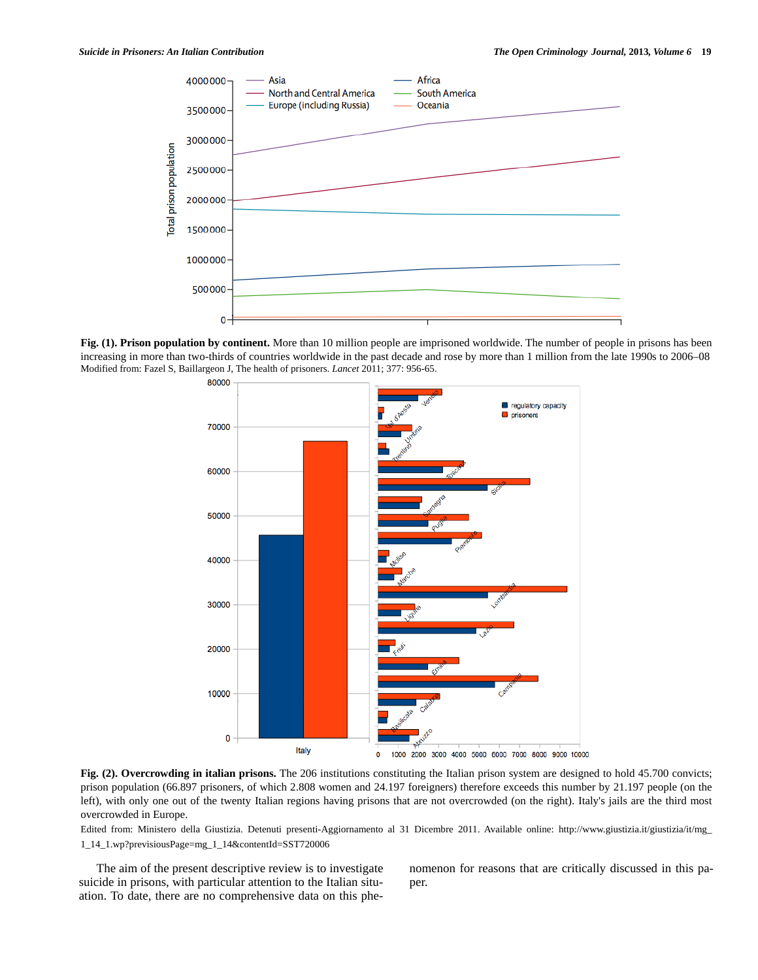

**Fig. (1). Prison population by continent.** More than 10 million people are imprisoned worldwide. The number of people in prisons has been increasing in more than two-thirds of countries worldwide in the past decade and rose by more than 1 million from the late 1990s to 2006–08 Modified from: Fazel S, Baillargeon J, The health of prisoners. *Lancet* 2011; 377: 956-65.



**Fig. (2). Overcrowding in italian prisons.** The 206 institutions constituting the Italian prison system are designed to hold 45.700 convicts; prison population (66.897 prisoners, of which 2.808 women and 24.197 foreigners) therefore exceeds this number by 21.197 people (on the left), with only one out of the twenty Italian regions having prisons that are not overcrowded (on the right). Italy's jails are the third most overcrowded in Europe.

Edited from: Ministero della Giustizia. Detenuti presenti-Aggiornamento al 31 Dicembre 2011. Available online: http://www.giustizia.it/giustizia/it/mg\_ 1\_14\_1.wp?previsiousPage=mg\_1\_14&contentId=SST720006

 The aim of the present descriptive review is to investigate suicide in prisons, with particular attention to the Italian situation. To date, there are no comprehensive data on this phenomenon for reasons that are critically discussed in this paper.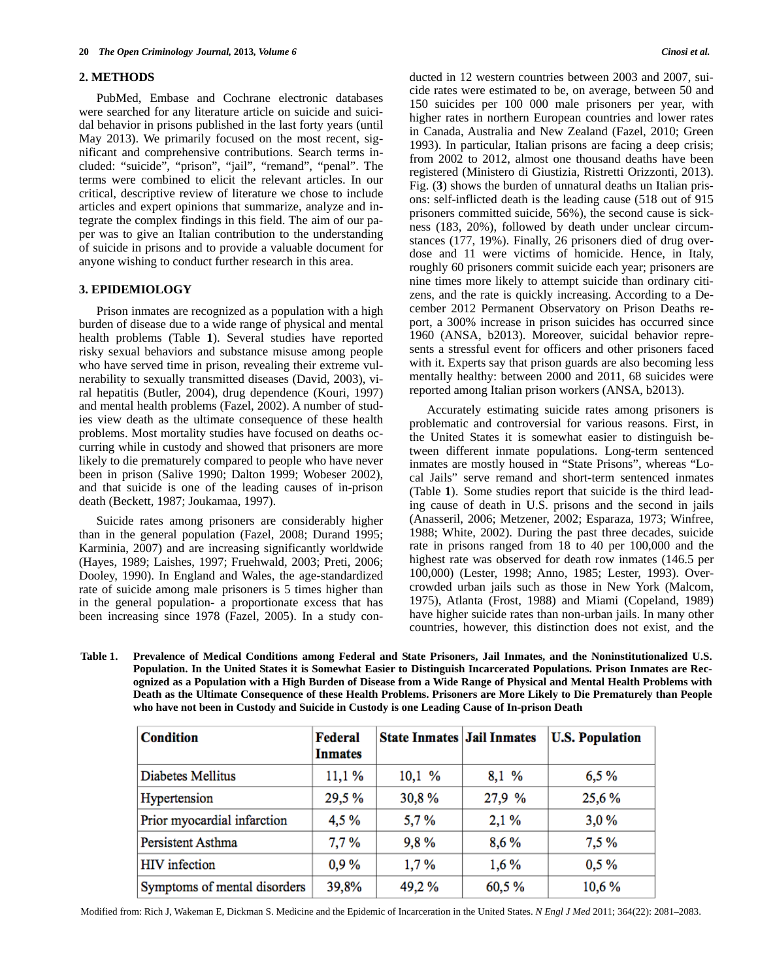## **2. METHODS**

 PubMed, Embase and Cochrane electronic databases were searched for any literature article on suicide and suicidal behavior in prisons published in the last forty years (until May 2013). We primarily focused on the most recent, significant and comprehensive contributions. Search terms included: "suicide", "prison", "jail", "remand", "penal". The terms were combined to elicit the relevant articles. In our critical, descriptive review of literature we chose to include articles and expert opinions that summarize, analyze and integrate the complex findings in this field. The aim of our paper was to give an Italian contribution to the understanding of suicide in prisons and to provide a valuable document for anyone wishing to conduct further research in this area.

#### **3. EPIDEMIOLOGY**

 Prison inmates are recognized as a population with a high burden of disease due to a wide range of physical and mental health problems (Table **1**). Several studies have reported risky sexual behaviors and substance misuse among people who have served time in prison, revealing their extreme vulnerability to sexually transmitted diseases (David, 2003), viral hepatitis (Butler, 2004), drug dependence (Kouri, 1997) and mental health problems (Fazel, 2002). A number of studies view death as the ultimate consequence of these health problems. Most mortality studies have focused on deaths occurring while in custody and showed that prisoners are more likely to die prematurely compared to people who have never been in prison (Salive 1990; Dalton 1999; Wobeser 2002), and that suicide is one of the leading causes of in-prison death (Beckett, 1987; Joukamaa, 1997).

 Suicide rates among prisoners are considerably higher than in the general population (Fazel, 2008; Durand 1995; Karminia, 2007) and are increasing significantly worldwide (Hayes, 1989; Laishes, 1997; Fruehwald, 2003; Preti, 2006; Dooley, 1990). In England and Wales, the age-standardized rate of suicide among male prisoners is 5 times higher than in the general population- a proportionate excess that has been increasing since 1978 (Fazel, 2005). In a study conducted in 12 western countries between 2003 and 2007, suicide rates were estimated to be, on average, between 50 and 150 suicides per 100 000 male prisoners per year, with higher rates in northern European countries and lower rates in Canada, Australia and New Zealand (Fazel, 2010; Green 1993). In particular, Italian prisons are facing a deep crisis; from 2002 to 2012, almost one thousand deaths have been registered (Ministero di Giustizia, Ristretti Orizzonti, 2013). Fig. (**3**) shows the burden of unnatural deaths un Italian prisons: self-inflicted death is the leading cause (518 out of 915 prisoners committed suicide, 56%), the second cause is sickness (183, 20%), followed by death under unclear circumstances (177, 19%). Finally, 26 prisoners died of drug overdose and 11 were victims of homicide. Hence, in Italy, roughly 60 prisoners commit suicide each year; prisoners are nine times more likely to attempt suicide than ordinary citizens, and the rate is quickly increasing. According to a December 2012 Permanent Observatory on Prison Deaths report, a 300% increase in prison suicides has occurred since 1960 (ANSA, b2013). Moreover, suicidal behavior represents a stressful event for officers and other prisoners faced with it. Experts say that prison guards are also becoming less mentally healthy: between 2000 and 2011, 68 suicides were reported among Italian prison workers (ANSA, b2013).

 Accurately estimating suicide rates among prisoners is problematic and controversial for various reasons. First, in the United States it is somewhat easier to distinguish between different inmate populations. Long-term sentenced inmates are mostly housed in "State Prisons", whereas "Local Jails" serve remand and short-term sentenced inmates (Table **1**). Some studies report that suicide is the third leading cause of death in U.S. prisons and the second in jails (Anasseril, 2006; Metzener, 2002; Esparaza, 1973; Winfree, 1988; White, 2002). During the past three decades, suicide rate in prisons ranged from 18 to 40 per 100,000 and the highest rate was observed for death row inmates (146.5 per 100,000) (Lester, 1998; Anno, 1985; Lester, 1993). Overcrowded urban jails such as those in New York (Malcom, 1975), Atlanta (Frost, 1988) and Miami (Copeland, 1989) have higher suicide rates than non-urban jails. In many other countries, however, this distinction does not exist, and the

**Table 1. Prevalence of Medical Conditions among Federal and State Prisoners, Jail Inmates, and the Noninstitutionalized U.S. Population. In the United States it is Somewhat Easier to Distinguish Incarcerated Populations. Prison Inmates are Recognized as a Population with a High Burden of Disease from a Wide Range of Physical and Mental Health Problems with Death as the Ultimate Consequence of these Health Problems. Prisoners are More Likely to Die Prematurely than People who have not been in Custody and Suicide in Custody is one Leading Cause of In-prison Death** 

| <b>Condition</b>             | Federal<br><b>Inmates</b> | <b>State Inmates Jail Inmates</b> |        | <b>U.S. Population</b> |
|------------------------------|---------------------------|-----------------------------------|--------|------------------------|
| Diabetes Mellitus            | 11,1%                     | 10,1%                             | 8,1 %  | 6,5%                   |
| Hypertension                 | 29,5 %                    | 30,8%                             | 27,9 % | 25,6%                  |
| Prior myocardial infarction  | 4,5%                      | 5,7%                              | 2,1%   | 3,0%                   |
| Persistent Asthma            | 7,7%                      | 9,8%                              | 8,6%   | 7.5%                   |
| <b>HIV</b> infection         | 0.9%                      | 1,7%                              | 1,6%   | $0.5\%$                |
| Symptoms of mental disorders | 39,8%                     | 49,2%                             | 60,5%  | 10,6 %                 |

Modified from: Rich J, Wakeman E, Dickman S. Medicine and the Epidemic of Incarceration in the United States. *N Engl J Med* 2011; 364(22): 2081–2083.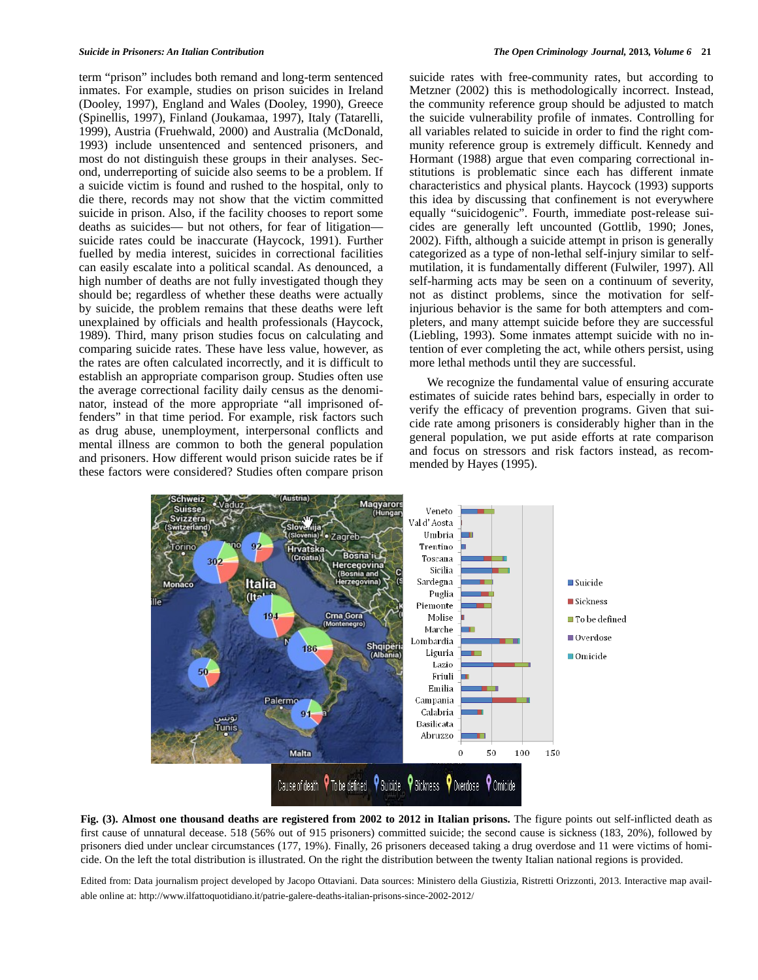term "prison" includes both remand and long-term sentenced inmates. For example, studies on prison suicides in Ireland (Dooley, 1997), England and Wales (Dooley, 1990), Greece (Spinellis, 1997), Finland (Joukamaa, 1997), Italy (Tatarelli, 1999), Austria (Fruehwald, 2000) and Australia (McDonald, 1993) include unsentenced and sentenced prisoners, and most do not distinguish these groups in their analyses. Second, underreporting of suicide also seems to be a problem. If a suicide victim is found and rushed to the hospital, only to die there, records may not show that the victim committed suicide in prison. Also, if the facility chooses to report some deaths as suicides— but not others, for fear of litigation suicide rates could be inaccurate (Haycock, 1991). Further fuelled by media interest, suicides in correctional facilities can easily escalate into a political scandal. As denounced, a high number of deaths are not fully investigated though they should be; regardless of whether these deaths were actually by suicide, the problem remains that these deaths were left unexplained by officials and health professionals (Haycock, 1989). Third, many prison studies focus on calculating and comparing suicide rates. These have less value, however, as the rates are often calculated incorrectly, and it is difficult to establish an appropriate comparison group. Studies often use the average correctional facility daily census as the denominator, instead of the more appropriate "all imprisoned offenders" in that time period. For example, risk factors such as drug abuse, unemployment, interpersonal conflicts and mental illness are common to both the general population and prisoners. How different would prison suicide rates be if these factors were considered? Studies often compare prison suicide rates with free-community rates, but according to Metzner (2002) this is methodologically incorrect. Instead, the community reference group should be adjusted to match the suicide vulnerability profile of inmates. Controlling for all variables related to suicide in order to find the right community reference group is extremely difficult. Kennedy and Hormant (1988) argue that even comparing correctional institutions is problematic since each has different inmate characteristics and physical plants. Haycock (1993) supports this idea by discussing that confinement is not everywhere equally "suicidogenic". Fourth, immediate post-release suicides are generally left uncounted (Gottlib, 1990; Jones, 2002). Fifth, although a suicide attempt in prison is generally categorized as a type of non-lethal self-injury similar to selfmutilation, it is fundamentally different (Fulwiler, 1997). All self-harming acts may be seen on a continuum of severity, not as distinct problems, since the motivation for selfinjurious behavior is the same for both attempters and completers, and many attempt suicide before they are successful (Liebling, 1993). Some inmates attempt suicide with no intention of ever completing the act, while others persist, using more lethal methods until they are successful.

 We recognize the fundamental value of ensuring accurate estimates of suicide rates behind bars, especially in order to verify the efficacy of prevention programs. Given that suicide rate among prisoners is considerably higher than in the general population, we put aside efforts at rate comparison and focus on stressors and risk factors instead, as recommended by Hayes (1995).



**Fig. (3). Almost one thousand deaths are registered from 2002 to 2012 in Italian prisons.** The figure points out self-inflicted death as first cause of unnatural decease. 518 (56% out of 915 prisoners) committed suicide; the second cause is sickness (183, 20%), followed by prisoners died under unclear circumstances (177, 19%). Finally, 26 prisoners deceased taking a drug overdose and 11 were victims of homicide. On the left the total distribution is illustrated. On the right the distribution between the twenty Italian national regions is provided.

Edited from: Data journalism project developed by Jacopo Ottaviani. Data sources: Ministero della Giustizia, Ristretti Orizzonti, 2013. Interactive map available online at: http://www.ilfattoquotidiano.it/patrie-galere-deaths-italian-prisons-since-2002-2012/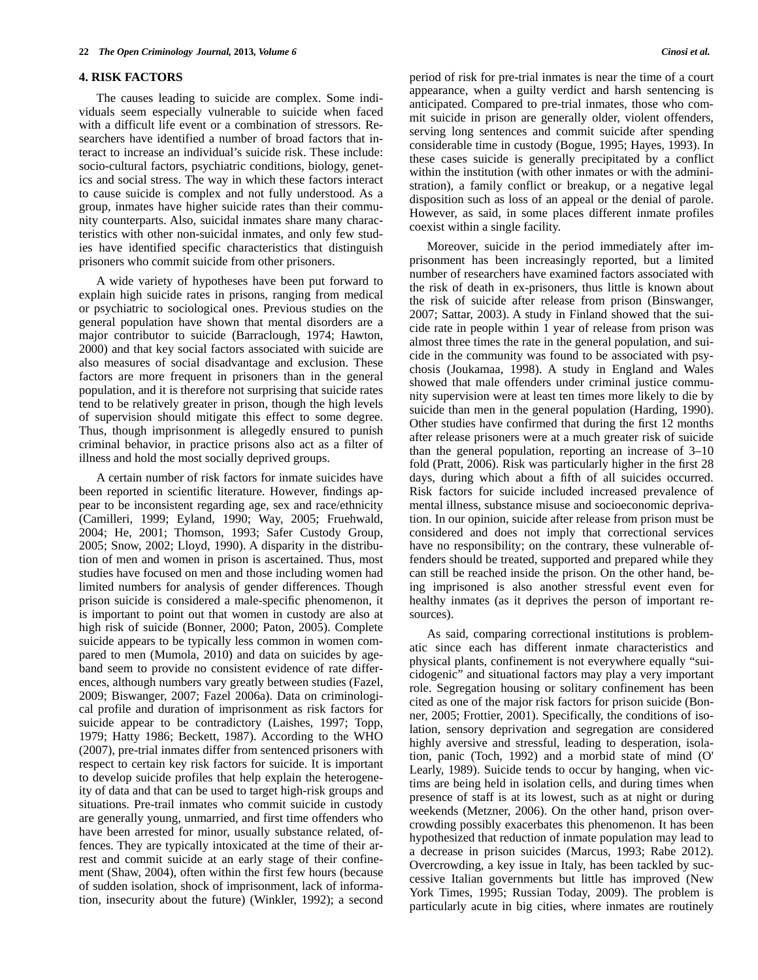#### **4. RISK FACTORS**

 The causes leading to suicide are complex. Some individuals seem especially vulnerable to suicide when faced with a difficult life event or a combination of stressors. Researchers have identified a number of broad factors that interact to increase an individual's suicide risk. These include: socio-cultural factors, psychiatric conditions, biology, genetics and social stress. The way in which these factors interact to cause suicide is complex and not fully understood. As a group, inmates have higher suicide rates than their community counterparts. Also, suicidal inmates share many characteristics with other non-suicidal inmates, and only few studies have identified specific characteristics that distinguish prisoners who commit suicide from other prisoners.

 A wide variety of hypotheses have been put forward to explain high suicide rates in prisons, ranging from medical or psychiatric to sociological ones. Previous studies on the general population have shown that mental disorders are a major contributor to suicide (Barraclough, 1974; Hawton, 2000) and that key social factors associated with suicide are also measures of social disadvantage and exclusion. These factors are more frequent in prisoners than in the general population, and it is therefore not surprising that suicide rates tend to be relatively greater in prison, though the high levels of supervision should mitigate this effect to some degree. Thus, though imprisonment is allegedly ensured to punish criminal behavior, in practice prisons also act as a filter of illness and hold the most socially deprived groups.

 A certain number of risk factors for inmate suicides have been reported in scientific literature. However, findings appear to be inconsistent regarding age, sex and race/ethnicity (Camilleri, 1999; Eyland, 1990; Way, 2005; Fruehwald, 2004; He, 2001; Thomson, 1993; Safer Custody Group, 2005; Snow, 2002; Lloyd, 1990). A disparity in the distribution of men and women in prison is ascertained. Thus, most studies have focused on men and those including women had limited numbers for analysis of gender differences. Though prison suicide is considered a male-specific phenomenon, it is important to point out that women in custody are also at high risk of suicide (Bonner, 2000; Paton, 2005). Complete suicide appears to be typically less common in women compared to men (Mumola, 2010) and data on suicides by ageband seem to provide no consistent evidence of rate differences, although numbers vary greatly between studies (Fazel, 2009; Biswanger, 2007; Fazel 2006a). Data on criminological profile and duration of imprisonment as risk factors for suicide appear to be contradictory (Laishes, 1997; Topp, 1979; Hatty 1986; Beckett, 1987). According to the WHO (2007), pre-trial inmates differ from sentenced prisoners with respect to certain key risk factors for suicide. It is important to develop suicide profiles that help explain the heterogeneity of data and that can be used to target high-risk groups and situations. Pre-trail inmates who commit suicide in custody are generally young, unmarried, and first time offenders who have been arrested for minor, usually substance related, offences. They are typically intoxicated at the time of their arrest and commit suicide at an early stage of their confinement (Shaw, 2004), often within the first few hours (because of sudden isolation, shock of imprisonment, lack of information, insecurity about the future) (Winkler, 1992); a second period of risk for pre-trial inmates is near the time of a court appearance, when a guilty verdict and harsh sentencing is anticipated. Compared to pre-trial inmates, those who commit suicide in prison are generally older, violent offenders, serving long sentences and commit suicide after spending considerable time in custody (Bogue, 1995; Hayes, 1993). In these cases suicide is generally precipitated by a conflict within the institution (with other inmates or with the administration), a family conflict or breakup, or a negative legal disposition such as loss of an appeal or the denial of parole. However, as said, in some places different inmate profiles coexist within a single facility.

 Moreover, suicide in the period immediately after imprisonment has been increasingly reported, but a limited number of researchers have examined factors associated with the risk of death in ex-prisoners, thus little is known about the risk of suicide after release from prison (Binswanger, 2007; Sattar, 2003). A study in Finland showed that the suicide rate in people within 1 year of release from prison was almost three times the rate in the general population, and suicide in the community was found to be associated with psychosis (Joukamaa, 1998). A study in England and Wales showed that male offenders under criminal justice community supervision were at least ten times more likely to die by suicide than men in the general population (Harding, 1990). Other studies have confirmed that during the first 12 months after release prisoners were at a much greater risk of suicide than the general population, reporting an increase of 3–10 fold (Pratt, 2006). Risk was particularly higher in the first 28 days, during which about a fifth of all suicides occurred. Risk factors for suicide included increased prevalence of mental illness, substance misuse and socioeconomic deprivation. In our opinion, suicide after release from prison must be considered and does not imply that correctional services have no responsibility; on the contrary, these vulnerable offenders should be treated, supported and prepared while they can still be reached inside the prison. On the other hand, being imprisoned is also another stressful event even for healthy inmates (as it deprives the person of important resources).

 As said, comparing correctional institutions is problematic since each has different inmate characteristics and physical plants, confinement is not everywhere equally "suicidogenic" and situational factors may play a very important role. Segregation housing or solitary confinement has been cited as one of the major risk factors for prison suicide (Bonner, 2005; Frottier, 2001). Specifically, the conditions of isolation, sensory deprivation and segregation are considered highly aversive and stressful, leading to desperation, isolation, panic (Toch, 1992) and a morbid state of mind (O' Learly, 1989). Suicide tends to occur by hanging, when victims are being held in isolation cells, and during times when presence of staff is at its lowest, such as at night or during weekends (Metzner, 2006). On the other hand, prison overcrowding possibly exacerbates this phenomenon. It has been hypothesized that reduction of inmate population may lead to a decrease in prison suicides (Marcus, 1993; Rabe 2012). Overcrowding, a key issue in Italy, has been tackled by successive Italian governments but little has improved (New York Times, 1995; Russian Today, 2009). The problem is particularly acute in big cities, where inmates are routinely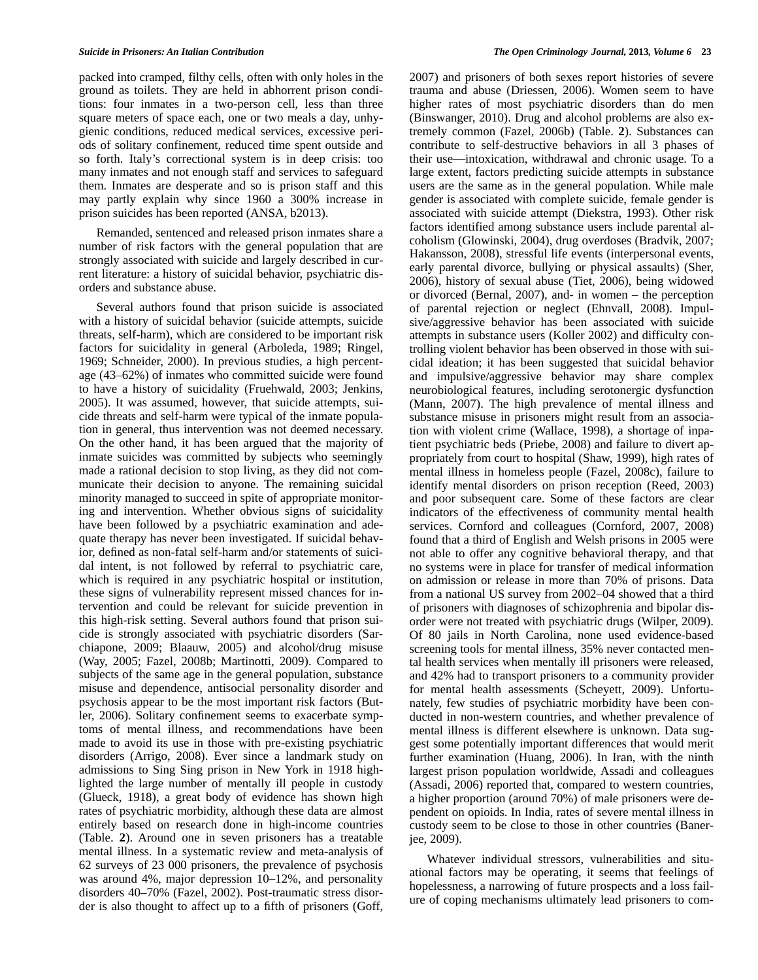packed into cramped, filthy cells, often with only holes in the ground as toilets. They are held in abhorrent prison conditions: four inmates in a two-person cell, less than three square meters of space each, one or two meals a day, unhygienic conditions, reduced medical services, excessive periods of solitary confinement, reduced time spent outside and so forth. Italy's correctional system is in deep crisis: too many inmates and not enough staff and services to safeguard them. Inmates are desperate and so is prison staff and this may partly explain why since 1960 a 300% increase in prison suicides has been reported (ANSA, b2013).

 Remanded, sentenced and released prison inmates share a number of risk factors with the general population that are strongly associated with suicide and largely described in current literature: a history of suicidal behavior, psychiatric disorders and substance abuse.

 Several authors found that prison suicide is associated with a history of suicidal behavior (suicide attempts, suicide threats, self-harm), which are considered to be important risk factors for suicidality in general (Arboleda, 1989; Ringel, 1969; Schneider, 2000). In previous studies, a high percentage (43–62%) of inmates who committed suicide were found to have a history of suicidality (Fruehwald, 2003; Jenkins, 2005). It was assumed, however, that suicide attempts, suicide threats and self-harm were typical of the inmate population in general, thus intervention was not deemed necessary. On the other hand, it has been argued that the majority of inmate suicides was committed by subjects who seemingly made a rational decision to stop living, as they did not communicate their decision to anyone. The remaining suicidal minority managed to succeed in spite of appropriate monitoring and intervention. Whether obvious signs of suicidality have been followed by a psychiatric examination and adequate therapy has never been investigated. If suicidal behavior, defined as non-fatal self-harm and/or statements of suicidal intent, is not followed by referral to psychiatric care, which is required in any psychiatric hospital or institution, these signs of vulnerability represent missed chances for intervention and could be relevant for suicide prevention in this high-risk setting. Several authors found that prison suicide is strongly associated with psychiatric disorders (Sarchiapone, 2009; Blaauw, 2005) and alcohol/drug misuse (Way, 2005; Fazel, 2008b; Martinotti, 2009). Compared to subjects of the same age in the general population, substance misuse and dependence, antisocial personality disorder and psychosis appear to be the most important risk factors (Butler, 2006). Solitary confinement seems to exacerbate symptoms of mental illness, and recommendations have been made to avoid its use in those with pre-existing psychiatric disorders (Arrigo, 2008). Ever since a landmark study on admissions to Sing Sing prison in New York in 1918 highlighted the large number of mentally ill people in custody (Glueck, 1918), a great body of evidence has shown high rates of psychiatric morbidity, although these data are almost entirely based on research done in high-income countries (Table. **2**). Around one in seven prisoners has a treatable mental illness. In a systematic review and meta-analysis of 62 surveys of 23 000 prisoners, the prevalence of psychosis was around 4%, major depression 10–12%, and personality disorders 40–70% (Fazel, 2002). Post-traumatic stress disorder is also thought to affect up to a fifth of prisoners (Goff,

2007) and prisoners of both sexes report histories of severe trauma and abuse (Driessen, 2006). Women seem to have higher rates of most psychiatric disorders than do men (Binswanger, 2010). Drug and alcohol problems are also extremely common (Fazel, 2006b) (Table. **2**). Substances can contribute to self-destructive behaviors in all 3 phases of their use—intoxication, withdrawal and chronic usage. To a large extent, factors predicting suicide attempts in substance users are the same as in the general population. While male gender is associated with complete suicide, female gender is associated with suicide attempt (Diekstra, 1993). Other risk factors identified among substance users include parental alcoholism (Glowinski, 2004), drug overdoses (Bradvik, 2007; Hakansson, 2008), stressful life events (interpersonal events, early parental divorce, bullying or physical assaults) (Sher, 2006), history of sexual abuse (Tiet, 2006), being widowed or divorced (Bernal, 2007), and- in women – the perception of parental rejection or neglect (Ehnvall, 2008). Impulsive/aggressive behavior has been associated with suicide attempts in substance users (Koller 2002) and difficulty controlling violent behavior has been observed in those with suicidal ideation; it has been suggested that suicidal behavior and impulsive/aggressive behavior may share complex neurobiological features, including serotonergic dysfunction (Mann, 2007). The high prevalence of mental illness and substance misuse in prisoners might result from an association with violent crime (Wallace, 1998), a shortage of inpatient psychiatric beds (Priebe, 2008) and failure to divert appropriately from court to hospital (Shaw, 1999), high rates of mental illness in homeless people (Fazel, 2008c), failure to identify mental disorders on prison reception (Reed, 2003) and poor subsequent care. Some of these factors are clear indicators of the effectiveness of community mental health services. Cornford and colleagues (Cornford, 2007, 2008) found that a third of English and Welsh prisons in 2005 were not able to offer any cognitive behavioral therapy, and that no systems were in place for transfer of medical information on admission or release in more than 70% of prisons. Data from a national US survey from 2002–04 showed that a third of prisoners with diagnoses of schizophrenia and bipolar disorder were not treated with psychiatric drugs (Wilper, 2009). Of 80 jails in North Carolina, none used evidence-based screening tools for mental illness, 35% never contacted mental health services when mentally ill prisoners were released, and 42% had to transport prisoners to a community provider for mental health assessments (Scheyett, 2009). Unfortunately, few studies of psychiatric morbidity have been conducted in non-western countries, and whether prevalence of mental illness is different elsewhere is unknown. Data suggest some potentially important differences that would merit further examination (Huang, 2006). In Iran, with the ninth largest prison population worldwide, Assadi and colleagues (Assadi, 2006) reported that, compared to western countries, a higher proportion (around 70%) of male prisoners were dependent on opioids. In India, rates of severe mental illness in custody seem to be close to those in other countries (Banerjee, 2009).

 Whatever individual stressors, vulnerabilities and situational factors may be operating, it seems that feelings of hopelessness, a narrowing of future prospects and a loss failure of coping mechanisms ultimately lead prisoners to com-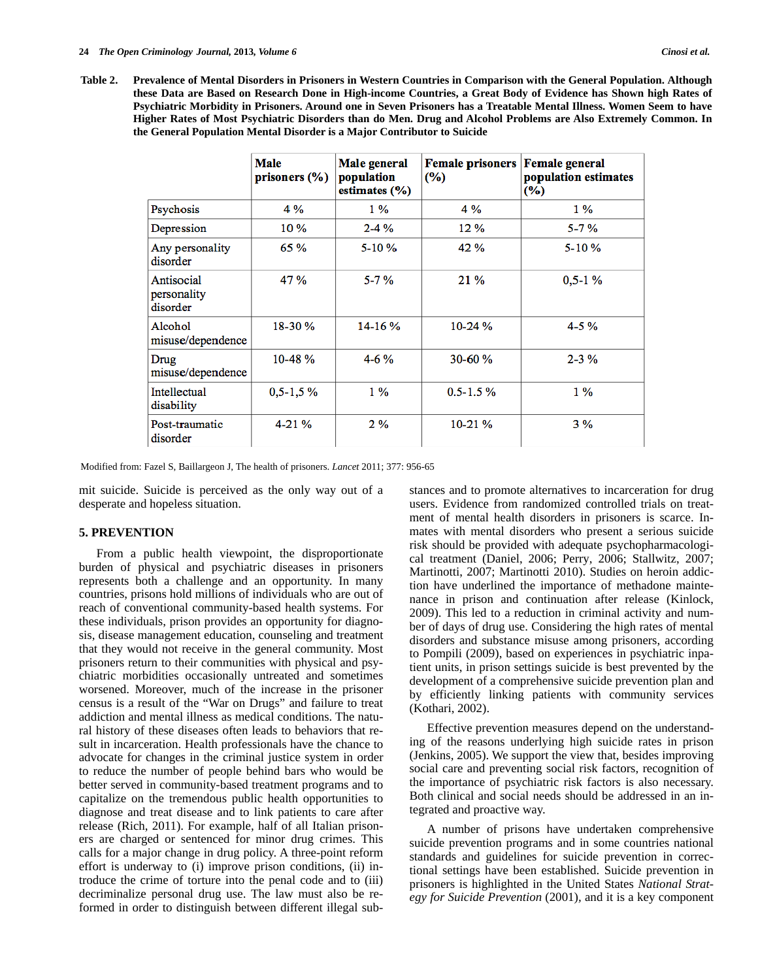|                                       | <b>Male</b><br>prisoners $(\% )$ | Male general<br>population<br>estimates (%) | <b>Female prisoners</b><br>$(\%)$ | <b>Female</b> general<br>population estimates<br>$(\%)$ |
|---------------------------------------|----------------------------------|---------------------------------------------|-----------------------------------|---------------------------------------------------------|
| Psychosis                             | 4 %                              | $1\%$                                       | 4 %                               | $1\%$                                                   |
| Depression                            | $10\%$                           | $2 - 4\%$                                   | $12\%$                            | $5 - 7%$                                                |
| Any personality<br>disorder           | 65 %                             | $5 - 10 \%$                                 | 42 %                              | $5 - 10 \%$                                             |
| Antisocial<br>personality<br>disorder | 47%                              | $5 - 7 \%$                                  | 21%                               | $0.5 - 1\%$                                             |
| Alcohol<br>misuse/dependence          | 18-30 %                          | $14 - 16%$                                  | $10-24%$                          | $4 - 5\%$                                               |
| Drug<br>misuse/dependence             | $10-48%$                         | $4 - 6\%$                                   | $30 - 60 \%$                      | $2 - 3\%$                                               |
| Intellectual<br>disability            | $0,5-1,5\%$                      | $1\%$                                       | $0.5 - 1.5 \%$                    | $1\%$                                                   |
| Post-traumatic<br>disorder            | $4 - 21\%$                       | $2\%$                                       | $10-21%$                          | 3%                                                      |

Modified from: Fazel S, Baillargeon J, The health of prisoners. *Lancet* 2011; 377: 956-65

mit suicide. Suicide is perceived as the only way out of a desperate and hopeless situation.

#### **5. PREVENTION**

 From a public health viewpoint, the disproportionate burden of physical and psychiatric diseases in prisoners represents both a challenge and an opportunity. In many countries, prisons hold millions of individuals who are out of reach of conventional community-based health systems. For these individuals, prison provides an opportunity for diagnosis, disease management education, counseling and treatment that they would not receive in the general community. Most prisoners return to their communities with physical and psychiatric morbidities occasionally untreated and sometimes worsened. Moreover, much of the increase in the prisoner census is a result of the "War on Drugs" and failure to treat addiction and mental illness as medical conditions. The natural history of these diseases often leads to behaviors that result in incarceration. Health professionals have the chance to advocate for changes in the criminal justice system in order to reduce the number of people behind bars who would be better served in community-based treatment programs and to capitalize on the tremendous public health opportunities to diagnose and treat disease and to link patients to care after release (Rich, 2011). For example, half of all Italian prisoners are charged or sentenced for minor drug crimes. This calls for a major change in drug policy. A three-point reform effort is underway to (i) improve prison conditions, (ii) introduce the crime of torture into the penal code and to (iii) decriminalize personal drug use. The law must also be reformed in order to distinguish between different illegal substances and to promote alternatives to incarceration for drug users. Evidence from randomized controlled trials on treatment of mental health disorders in prisoners is scarce. Inmates with mental disorders who present a serious suicide risk should be provided with adequate psychopharmacological treatment (Daniel, 2006; Perry, 2006; Stallwitz, 2007; Martinotti, 2007; Martinotti 2010). Studies on heroin addiction have underlined the importance of methadone maintenance in prison and continuation after release (Kinlock, 2009). This led to a reduction in criminal activity and number of days of drug use. Considering the high rates of mental disorders and substance misuse among prisoners, according to Pompili (2009), based on experiences in psychiatric inpatient units, in prison settings suicide is best prevented by the development of a comprehensive suicide prevention plan and by efficiently linking patients with community services (Kothari, 2002).

 Effective prevention measures depend on the understanding of the reasons underlying high suicide rates in prison (Jenkins, 2005). We support the view that, besides improving social care and preventing social risk factors, recognition of the importance of psychiatric risk factors is also necessary. Both clinical and social needs should be addressed in an integrated and proactive way.

 A number of prisons have undertaken comprehensive suicide prevention programs and in some countries national standards and guidelines for suicide prevention in correctional settings have been established. Suicide prevention in prisoners is highlighted in the United States *National Strategy for Suicide Prevention* (2001)*,* and it is a key component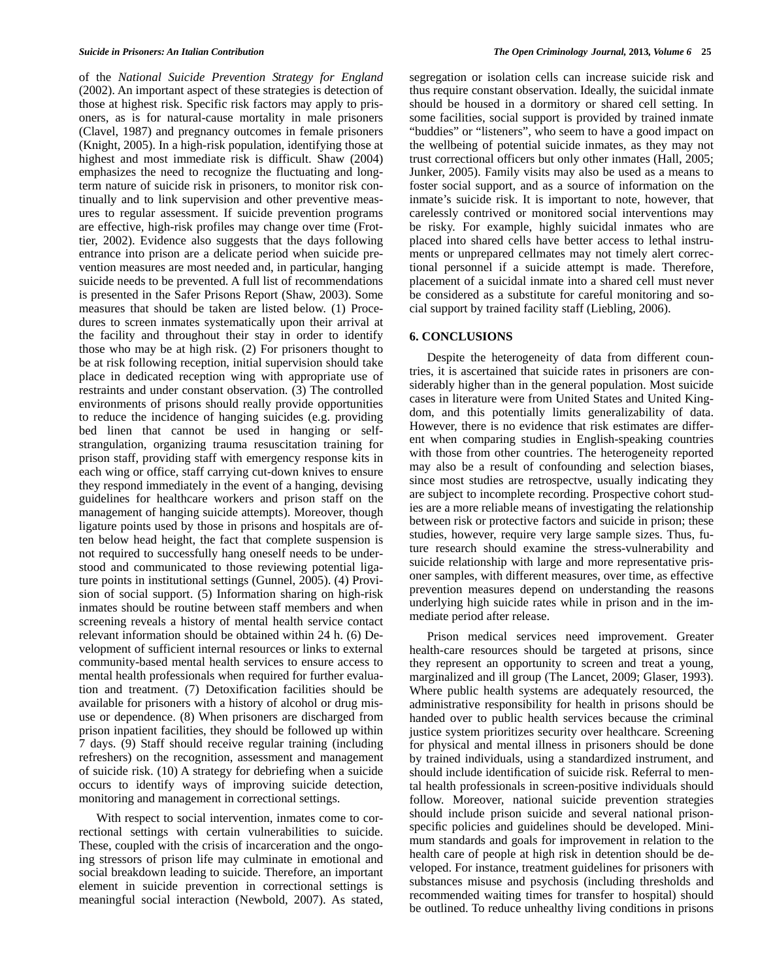of the *National Suicide Prevention Strategy for England* (2002). An important aspect of these strategies is detection of those at highest risk. Specific risk factors may apply to prisoners, as is for natural-cause mortality in male prisoners (Clavel, 1987) and pregnancy outcomes in female prisoners (Knight, 2005). In a high-risk population, identifying those at highest and most immediate risk is difficult. Shaw (2004) emphasizes the need to recognize the fluctuating and longterm nature of suicide risk in prisoners, to monitor risk continually and to link supervision and other preventive measures to regular assessment. If suicide prevention programs are effective, high-risk profiles may change over time (Frottier, 2002). Evidence also suggests that the days following entrance into prison are a delicate period when suicide prevention measures are most needed and, in particular, hanging suicide needs to be prevented. A full list of recommendations is presented in the Safer Prisons Report (Shaw, 2003). Some measures that should be taken are listed below. (1) Procedures to screen inmates systematically upon their arrival at the facility and throughout their stay in order to identify those who may be at high risk. (2) For prisoners thought to be at risk following reception, initial supervision should take place in dedicated reception wing with appropriate use of restraints and under constant observation. (3) The controlled environments of prisons should really provide opportunities to reduce the incidence of hanging suicides (e.g. providing bed linen that cannot be used in hanging or selfstrangulation, organizing trauma resuscitation training for prison staff, providing staff with emergency response kits in each wing or office, staff carrying cut-down knives to ensure they respond immediately in the event of a hanging, devising guidelines for healthcare workers and prison staff on the management of hanging suicide attempts). Moreover, though ligature points used by those in prisons and hospitals are often below head height, the fact that complete suspension is not required to successfully hang oneself needs to be understood and communicated to those reviewing potential ligature points in institutional settings (Gunnel, 2005). (4) Provision of social support. (5) Information sharing on high-risk inmates should be routine between staff members and when screening reveals a history of mental health service contact relevant information should be obtained within 24 h. (6) Development of sufficient internal resources or links to external community-based mental health services to ensure access to mental health professionals when required for further evaluation and treatment. (7) Detoxification facilities should be available for prisoners with a history of alcohol or drug misuse or dependence. (8) When prisoners are discharged from prison inpatient facilities, they should be followed up within 7 days. (9) Staff should receive regular training (including refreshers) on the recognition, assessment and management of suicide risk. (10) A strategy for debriefing when a suicide occurs to identify ways of improving suicide detection, monitoring and management in correctional settings.

 With respect to social intervention, inmates come to correctional settings with certain vulnerabilities to suicide. These, coupled with the crisis of incarceration and the ongoing stressors of prison life may culminate in emotional and social breakdown leading to suicide. Therefore, an important element in suicide prevention in correctional settings is meaningful social interaction (Newbold, 2007). As stated,

segregation or isolation cells can increase suicide risk and thus require constant observation. Ideally, the suicidal inmate should be housed in a dormitory or shared cell setting. In some facilities, social support is provided by trained inmate "buddies" or "listeners", who seem to have a good impact on the wellbeing of potential suicide inmates, as they may not trust correctional officers but only other inmates (Hall, 2005; Junker, 2005). Family visits may also be used as a means to foster social support, and as a source of information on the inmate's suicide risk. It is important to note, however, that carelessly contrived or monitored social interventions may be risky. For example, highly suicidal inmates who are placed into shared cells have better access to lethal instruments or unprepared cellmates may not timely alert correctional personnel if a suicide attempt is made. Therefore, placement of a suicidal inmate into a shared cell must never be considered as a substitute for careful monitoring and social support by trained facility staff (Liebling, 2006).

## **6. CONCLUSIONS**

 Despite the heterogeneity of data from different countries, it is ascertained that suicide rates in prisoners are considerably higher than in the general population. Most suicide cases in literature were from United States and United Kingdom, and this potentially limits generalizability of data. However, there is no evidence that risk estimates are different when comparing studies in English-speaking countries with those from other countries. The heterogeneity reported may also be a result of confounding and selection biases, since most studies are retrospectve, usually indicating they are subject to incomplete recording. Prospective cohort studies are a more reliable means of investigating the relationship between risk or protective factors and suicide in prison; these studies, however, require very large sample sizes. Thus, future research should examine the stress-vulnerability and suicide relationship with large and more representative prisoner samples, with different measures, over time, as effective prevention measures depend on understanding the reasons underlying high suicide rates while in prison and in the immediate period after release.

 Prison medical services need improvement. Greater health-care resources should be targeted at prisons, since they represent an opportunity to screen and treat a young, marginalized and ill group (The Lancet, 2009; Glaser, 1993). Where public health systems are adequately resourced, the administrative responsibility for health in prisons should be handed over to public health services because the criminal justice system prioritizes security over healthcare. Screening for physical and mental illness in prisoners should be done by trained individuals, using a standardized instrument, and should include identification of suicide risk. Referral to mental health professionals in screen-positive individuals should follow. Moreover, national suicide prevention strategies should include prison suicide and several national prisonspecific policies and guidelines should be developed. Minimum standards and goals for improvement in relation to the health care of people at high risk in detention should be developed. For instance, treatment guidelines for prisoners with substances misuse and psychosis (including thresholds and recommended waiting times for transfer to hospital) should be outlined. To reduce unhealthy living conditions in prisons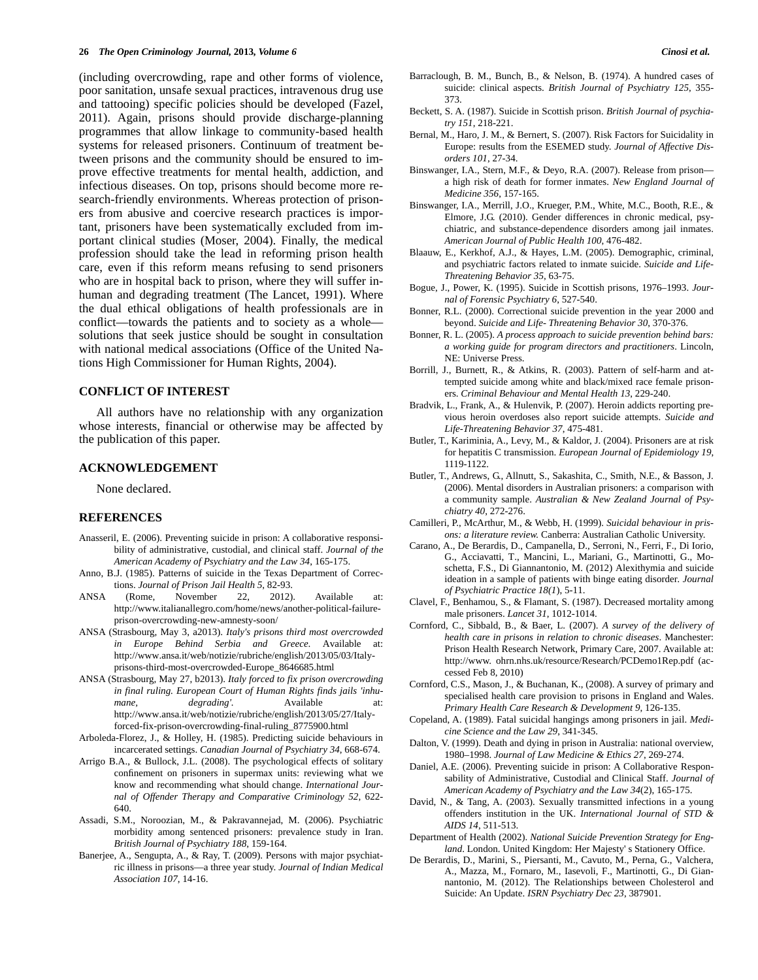(including overcrowding, rape and other forms of violence, poor sanitation, unsafe sexual practices, intravenous drug use and tattooing) specific policies should be developed (Fazel, 2011). Again, prisons should provide discharge-planning programmes that allow linkage to community-based health systems for released prisoners. Continuum of treatment between prisons and the community should be ensured to improve effective treatments for mental health, addiction, and infectious diseases. On top, prisons should become more research-friendly environments. Whereas protection of prisoners from abusive and coercive research practices is important, prisoners have been systematically excluded from important clinical studies (Moser, 2004). Finally, the medical profession should take the lead in reforming prison health care, even if this reform means refusing to send prisoners who are in hospital back to prison, where they will suffer inhuman and degrading treatment (The Lancet, 1991). Where the dual ethical obligations of health professionals are in conflict—towards the patients and to society as a whole solutions that seek justice should be sought in consultation with national medical associations (Office of the United Nations High Commissioner for Human Rights, 2004).

#### **CONFLICT OF INTEREST**

 All authors have no relationship with any organization whose interests, financial or otherwise may be affected by the publication of this paper.

# **ACKNOWLEDGEMENT**

None declared.

#### **REFERENCES**

- Anasseril, E. (2006). Preventing suicide in prison: A collaborative responsibility of administrative, custodial, and clinical staff. *Journal of the American Academy of Psychiatry and the Law 34*, 165-175.
- Anno, B.J. (1985). Patterns of suicide in the Texas Department of Corrections. *Journal of Prison Jail Health 5*, 82-93.
- ANSA (Rome, November 22, 2012). Available at: http://www.italianallegro.com/home/news/another-political-failureprison-overcrowding-new-amnesty-soon/
- ANSA (Strasbourg, May 3, a2013). *Italy's prisons third most overcrowded in Europe Behind Serbia and Greece*. Available at: http://www.ansa.it/web/notizie/rubriche/english/2013/05/03/Italyprisons-third-most-overcrowded-Europe\_8646685.html
- ANSA (Strasbourg, May 27, b2013). *Italy forced to fix prison overcrowding in final ruling. European Court of Human Rights finds jails 'inhumane, degrading'.* Available at: http://www.ansa.it/web/notizie/rubriche/english/2013/05/27/Italyforced-fix-prison-overcrowding-final-ruling\_8775900.html
- Arboleda-Florez, J., & Holley, H. (1985). Predicting suicide behaviours in incarcerated settings. *Canadian Journal of Psychiatry 34*, 668-674.
- Arrigo B.A., & Bullock, J.L. (2008). The psychological effects of solitary confinement on prisoners in supermax units: reviewing what we know and recommending what should change. *International Journal of Offender Therapy and Comparative Criminology 52*, 622- 640.
- Assadi, S.M., Noroozian, M., & Pakravannejad, M. (2006). Psychiatric morbidity among sentenced prisoners: prevalence study in Iran. *British Journal of Psychiatry 188*, 159-164.
- Banerjee, A., Sengupta, A., & Ray, T. (2009). Persons with major psychiatric illness in prisons—a three year study. *Journal of Indian Medical Association 107*, 14-16.
- Barraclough, B. M., Bunch, B., & Nelson, B. (1974). A hundred cases of suicide: clinical aspects. *British Journal of Psychiatry 125*, 355- 373.
- Beckett, S. A. (1987). Suicide in Scottish prison. *British Journal of psychiatry 151*, 218-221.
- Bernal, M., Haro, J. M., & Bernert, S. (2007). Risk Factors for Suicidality in Europe: results from the ESEMED study. *Journal of Affective Disorders 101*, 27-34.
- Binswanger, I.A., Stern, M.F., & Deyo, R.A. (2007). Release from prison a high risk of death for former inmates. *New England Journal of Medicine 356*, 157-165.
- Binswanger, I.A., Merrill, J.O., Krueger, P.M., White, M.C., Booth, R.E., & Elmore, J.G. (2010). Gender differences in chronic medical, psychiatric, and substance-dependence disorders among jail inmates. *American Journal of Public Health 100*, 476-482.
- Blaauw, E., Kerkhof, A.J., & Hayes, L.M. (2005). Demographic, criminal, and psychiatric factors related to inmate suicide. *Suicide and Life-Threatening Behavior 35*, 63-75.
- Bogue, J., Power, K. (1995). Suicide in Scottish prisons, 1976–1993. *Journal of Forensic Psychiatry 6*, 527-540.
- Bonner, R.L. (2000). Correctional suicide prevention in the year 2000 and beyond. *Suicide and Life- Threatening Behavior 30*, 370-376.
- Bonner, R. L. (2005). *A process approach to suicide prevention behind bars: a working guide for program directors and practitioners*. Lincoln, NE: Universe Press.
- Borrill, J., Burnett, R., & Atkins, R. (2003). Pattern of self-harm and attempted suicide among white and black/mixed race female prisoners. *Criminal Behaviour and Mental Health 13*, 229-240.
- Bradvik, L., Frank, A., & Hulenvik, P. (2007). Heroin addicts reporting previous heroin overdoses also report suicide attempts. *Suicide and Life-Threatening Behavior 37*, 475-481.
- Butler, T., Kariminia, A., Levy, M., & Kaldor, J. (2004). Prisoners are at risk for hepatitis C transmission. *European Journal of Epidemiology 19*, 1119-1122.
- Butler, T., Andrews, G., Allnutt, S., Sakashita, C., Smith, N.E., & Basson, J. (2006). Mental disorders in Australian prisoners: a comparison with a community sample. *Australian & New Zealand Journal of Psychiatry 40*, 272-276.
- Camilleri, P., McArthur, M., & Webb, H. (1999). *Suicidal behaviour in prisons: a literature review.* Canberra: Australian Catholic University.
- Carano, A., De Berardis, D., Campanella, D., Serroni, N., Ferri, F., Di Iorio, G., Acciavatti, T., Mancini, L., Mariani, G., Martinotti, G., Moschetta, F.S., Di Giannantonio, M. (2012) Alexithymia and suicide ideation in a sample of patients with binge eating disorder*. Journal of Psychiatric Practice 18(1*), 5-11.
- Clavel, F., Benhamou, S., & Flamant, S. (1987). Decreased mortality among male prisoners. *Lancet 31*, 1012-1014.
- Cornford, C., Sibbald, B., & Baer, L. (2007). *A survey of the delivery of health care in prisons in relation to chronic diseases*. Manchester: Prison Health Research Network, Primary Care, 2007. Available at: http://www. ohrn.nhs.uk/resource/Research/PCDemo1Rep.pdf (accessed Feb 8, 2010)
- Cornford, C.S., Mason, J., & Buchanan, K., (2008). A survey of primary and specialised health care provision to prisons in England and Wales. *Primary Health Care Research & Development 9*, 126-135.
- Copeland, A. (1989). Fatal suicidal hangings among prisoners in jail. *Medicine Science and the Law 29*, 341-345.
- Dalton, V. (1999). Death and dying in prison in Australia: national overview, 1980–1998. *Journal of Law Medicine & Ethics 27*, 269-274.
- Daniel, A.E. (2006). Preventing suicide in prison: A Collaborative Responsability of Administrative, Custodial and Clinical Staff. *Journal of American Academy of Psychiatry and the Law 34*(2), 165-175.
- David, N., & Tang, A. (2003). Sexually transmitted infections in a young offenders institution in the UK. *International Journal of STD & AIDS 14*, 511-513.
- Department of Health (2002). *National Suicide Prevention Strategy for England*. London. United Kingdom: Her Majesty' s Stationery Office.
- De Berardis, D., Marini, S., Piersanti, M., Cavuto, M., Perna, G., Valchera, A., Mazza, M., Fornaro, M., Iasevoli, F., Martinotti, G., Di Giannantonio, M. (2012). The Relationships between Cholesterol and Suicide: An Update. *ISRN Psychiatry Dec 23*, 387901.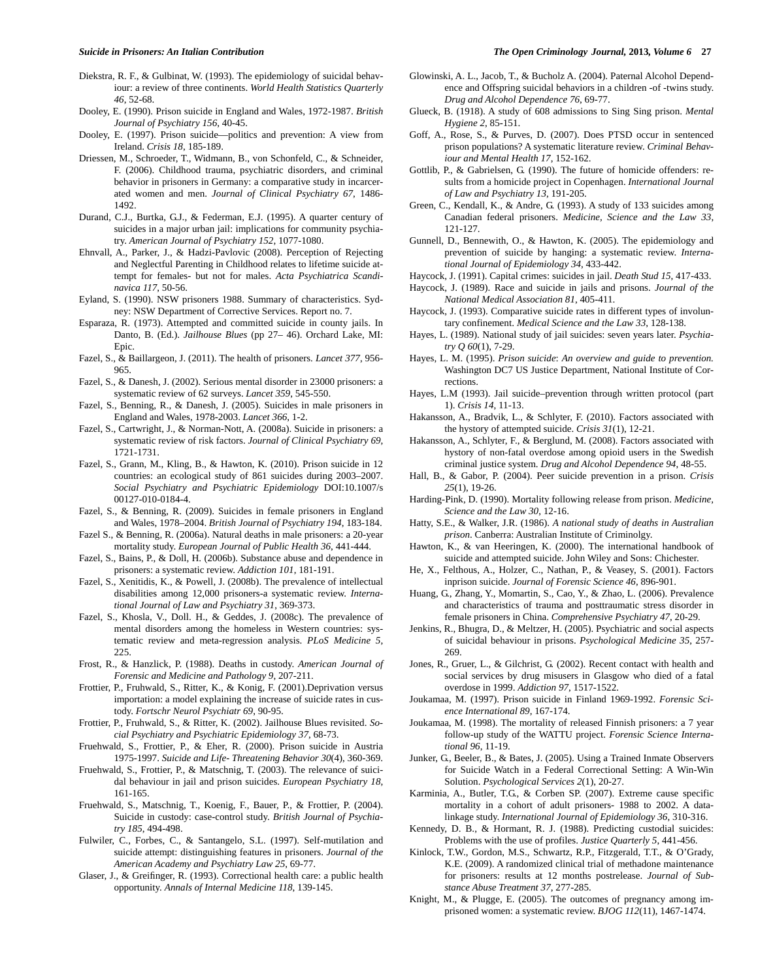- Diekstra, R. F., & Gulbinat, W. (1993). The epidemiology of suicidal behaviour: a review of three continents. *World Health Statistics Quarterly 46*, 52-68.
- Dooley, E. (1990). Prison suicide in England and Wales, 1972-1987. *British Journal of Psychiatry 156*, 40-45.
- Dooley, E. (1997). Prison suicide—politics and prevention: A view from Ireland. *Crisis 18*, 185-189.
- Driessen, M., Schroeder, T., Widmann, B., von Schonfeld, C., & Schneider, F. (2006). Childhood trauma, psychiatric disorders, and criminal behavior in prisoners in Germany: a comparative study in incarcerated women and men. *Journal of Clinical Psychiatry 67*, 1486- 1492.
- Durand, C.J., Burtka, G.J., & Federman, E.J. (1995). A quarter century of suicides in a major urban jail: implications for community psychiatry. *American Journal of Psychiatry 152*, 1077-1080.
- Ehnvall, A., Parker, J., & Hadzi-Pavlovic (2008). Perception of Rejecting and Neglectful Parenting in Childhood relates to lifetime suicide attempt for females- but not for males. *Acta Psychiatrica Scandinavica 117*, 50-56.
- Eyland, S. (1990). NSW prisoners 1988. Summary of characteristics. Sydney: NSW Department of Corrective Services. Report no. 7.
- Esparaza, R. (1973). Attempted and committed suicide in county jails. In Danto, B. (Ed.). *Jailhouse Blues* (pp 27– 46). Orchard Lake, MI: Epic.
- Fazel, S., & Baillargeon, J. (2011). The health of prisoners. *Lancet 377*, 956- 965.
- Fazel, S., & Danesh, J. (2002). Serious mental disorder in 23000 prisoners: a systematic review of 62 surveys. *Lancet 359*, 545-550.
- Fazel, S., Benning, R., & Danesh, J. (2005). Suicides in male prisoners in England and Wales, 1978-2003. *Lancet 366*, 1-2.
- Fazel, S., Cartwright, J., & Norman-Nott, A. (2008a). Suicide in prisoners: a systematic review of risk factors. *Journal of Clinical Psychiatry 69*, 1721-1731.
- Fazel, S., Grann, M., Kling, B., & Hawton, K. (2010). Prison suicide in 12 countries: an ecological study of 861 suicides during 2003–2007. *Social Psychiatry and Psychiatric Epidemiology* DOI:10.1007/s 00127-010-0184-4.
- Fazel, S., & Benning, R. (2009). Suicides in female prisoners in England and Wales, 1978–2004. *British Journal of Psychiatry 194*, 183-184.
- Fazel S., & Benning, R. (2006a). Natural deaths in male prisoners: a 20-year mortality study. *European Journal of Public Health 36*, 441-444.
- Fazel, S., Bains, P., & Doll, H. (2006b). Substance abuse and dependence in prisoners: a systematic review. *Addiction 101*, 181-191.
- Fazel, S., Xenitidis, K., & Powell, J. (2008b). The prevalence of intellectual disabilities among 12,000 prisoners-a systematic review. *International Journal of Law and Psychiatry 31*, 369-373.
- Fazel, S., Khosla, V., Doll. H., & Geddes, J. (2008c). The prevalence of mental disorders among the homeless in Western countries: systematic review and meta-regression analysis. *PLoS Medicine 5*, 225.
- Frost, R., & Hanzlick, P. (1988). Deaths in custody. *American Journal of Forensic and Medicine and Pathology 9*, 207-211.
- Frottier, P., Fruhwald, S., Ritter, K., & Konig, F. (2001).Deprivation versus importation: a model explaining the increase of suicide rates in custody. *Fortschr Neurol Psychiatr 69*, 90-95.
- Frottier, P., Fruhwald, S., & Ritter, K. (2002). Jailhouse Blues revisited. *Social Psychiatry and Psychiatric Epidemiology 37*, 68-73.
- Fruehwald, S., Frottier, P., & Eher, R. (2000). Prison suicide in Austria 1975-1997. *Suicide and Life- Threatening Behavior 30*(4), 360-369.
- Fruehwald, S., Frottier, P., & Matschnig, T. (2003). The relevance of suicidal behaviour in jail and prison suicides. *European Psychiatry 18*, 161-165.
- Fruehwald, S., Matschnig, T., Koenig, F., Bauer, P., & Frottier, P. (2004). Suicide in custody: case-control study. *British Journal of Psychiatry 185*, 494-498.
- Fulwiler, C., Forbes, C., & Santangelo, S.L. (1997). Self-mutilation and suicide attempt: distinguishing features in prisoners. *Journal of the American Academy and Psychiatry Law 25*, 69-77.
- Glaser, J., & Greifinger, R. (1993). Correctional health care: a public health opportunity. *Annals of Internal Medicine 118*, 139-145.
- Glowinski, A. L., Jacob, T., & Bucholz A. (2004). Paternal Alcohol Dependence and Offspring suicidal behaviors in a children -of -twins study. *Drug and Alcohol Dependence 76*, 69-77.
- Glueck, B. (1918). A study of 608 admissions to Sing Sing prison. *Mental Hygiene 2*, 85-151.
- Goff, A., Rose, S., & Purves, D. (2007). Does PTSD occur in sentenced prison populations? A systematic literature review. *Criminal Behaviour and Mental Health 17*, 152-162.
- Gottlib, P., & Gabrielsen, G. (1990). The future of homicide offenders: results from a homicide project in Copenhagen. *International Journal of Law and Psychiatry 13*, 191-205.
- Green, C., Kendall, K., & Andre, G. (1993). A study of 133 suicides among Canadian federal prisoners. *Medicine, Science and the Law 33*, 121-127.
- Gunnell, D., Bennewith, O., & Hawton, K. (2005). The epidemiology and prevention of suicide by hanging: a systematic review. *International Journal of Epidemiology 34*, 433-442.
- Haycock, J. (1991). Capital crimes: suicides in jail. *Death Stud 15*, 417-433.
- Haycock, J. (1989). Race and suicide in jails and prisons. *Journal of the National Medical Association 81*, 405-411.
- Haycock, J. (1993). Comparative suicide rates in different types of involuntary confinement. *Medical Science and the Law 33*, 128-138.
- Hayes, L. (1989). National study of jail suicides: seven years later. *Psychiatry Q 60*(1), 7-29.
- Hayes, L. M. (1995). *Prison suicide*: *An overview and guide to prevention.*  Washington DC7 US Justice Department, National Institute of Corrections.
- Hayes, L.M (1993). Jail suicide–prevention through written protocol (part 1). *Crisis 14*, 11-13.
- Hakansson, A., Bradvik, L., & Schlyter, F. (2010). Factors associated with the hystory of attempted suicide. *Crisis 31*(1), 12-21.
- Hakansson, A., Schlyter, F., & Berglund, M. (2008). Factors associated with hystory of non-fatal overdose among opioid users in the Swedish criminal justice system. *Drug and Alcohol Dependence 94*, 48-55.
- Hall, B., & Gabor, P. (2004). Peer suicide prevention in a prison. *Crisis 25*(1), 19-26.
- Harding-Pink, D. (1990). Mortality following release from prison. *Medicine, Science and the Law 30*, 12-16.
- Hatty, S.E., & Walker, J.R. (1986). *A national study of deaths in Australian prison*. Canberra: Australian Institute of Criminolgy.
- Hawton, K., & van Heeringen, K. (2000). The international handbook of suicide and attempted suicide. John Wiley and Sons: Chichester.
- He, X., Felthous, A., Holzer, C., Nathan, P., & Veasey, S. (2001). Factors inprison suicide. *Journal of Forensic Science 46*, 896-901.
- Huang, G., Zhang, Y., Momartin, S., Cao, Y., & Zhao, L. (2006). Prevalence and characteristics of trauma and posttraumatic stress disorder in female prisoners in China. *Comprehensive Psychiatry 47*, 20-29.
- Jenkins, R., Bhugra, D., & Meltzer, H. (2005). Psychiatric and social aspects of suicidal behaviour in prisons. *Psychological Medicine 35*, 257- 269.
- Jones, R., Gruer, L., & Gilchrist, G. (2002). Recent contact with health and social services by drug misusers in Glasgow who died of a fatal overdose in 1999. *Addiction 97*, 1517-1522.
- Joukamaa, M. (1997). Prison suicide in Finland 1969-1992. *Forensic Science International 89*, 167-174.
- Joukamaa, M. (1998). The mortality of released Finnish prisoners: a 7 year follow-up study of the WATTU project. *Forensic Science International 96*, 11-19.
- Junker, G., Beeler, B., & Bates, J. (2005). Using a Trained Inmate Observers for Suicide Watch in a Federal Correctional Setting: A Win-Win Solution. *Psychological Services 2*(1), 20-27.
- Karminia, A., Butler, T.G., & Corben SP. (2007). Extreme cause specific mortality in a cohort of adult prisoners- 1988 to 2002. A datalinkage study. *International Journal of Epidemiology 36*, 310-316.
- Kennedy, D. B., & Hormant, R. J. (1988). Predicting custodial suicides: Problems with the use of profiles. *Justice Quarterly 5*, 441-456.
- Kinlock, T.W., Gordon, M.S., Schwartz, R.P., Fitzgerald, T.T., & O'Grady, K.E. (2009). A randomized clinical trial of methadone maintenance for prisoners: results at 12 months postrelease. *Journal of Substance Abuse Treatment 37*, 277-285.
- Knight, M., & Plugge, E. (2005). The outcomes of pregnancy among imprisoned women: a systematic review. *BJOG 112*(11), 1467-1474.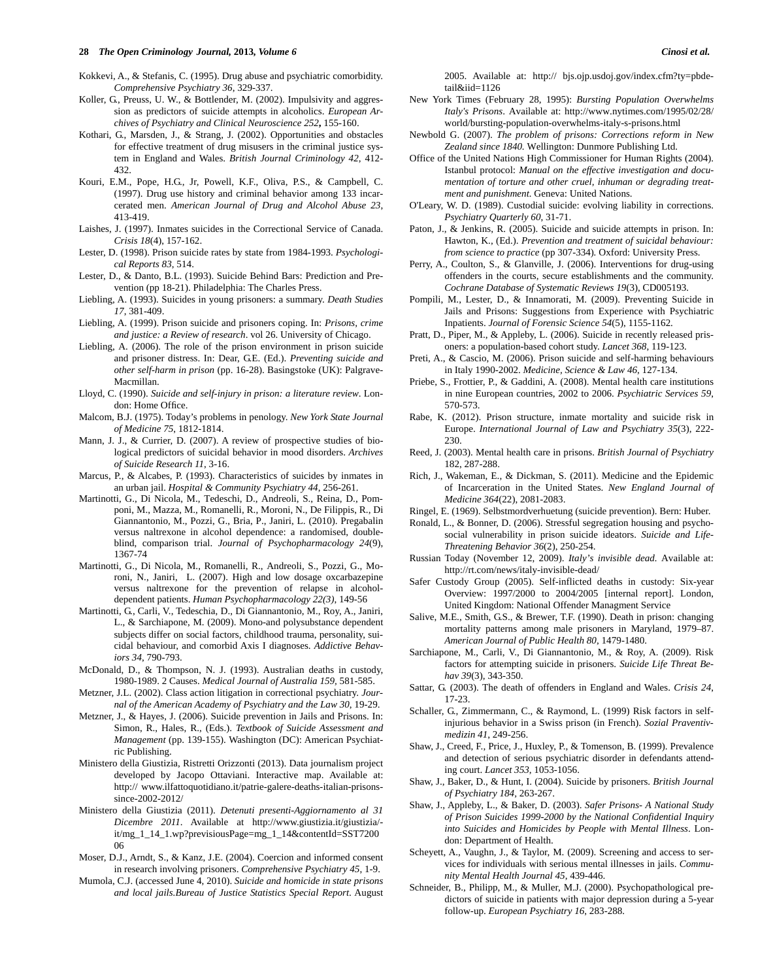#### **28** *The Open Criminology Journal,* **2013***, Volume 6 Cinosi et al.*

- Kokkevi, A., & Stefanis, C. (1995). Drug abuse and psychiatric comorbidity. *Comprehensive Psychiatry 36*, 329-337.
- Koller, G., Preuss, U. W., & Bottlender, M. (2002). Impulsivity and aggression as predictors of suicide attempts in alcoholics. *European Archives of Psychiatry and Clinical Neuroscience 252***,** 155-160.
- Kothari, G., Marsden, J., & Strang, J. (2002). Opportunities and obstacles for effective treatment of drug misusers in the criminal justice system in England and Wales. *British Journal Criminology 42*, 412- 432.
- Kouri, E.M., Pope, H.G., Jr, Powell, K.F., Oliva, P.S., & Campbell, C. (1997). Drug use history and criminal behavior among 133 incarcerated men. *American Journal of Drug and Alcohol Abuse 23*, 413-419.
- Laishes, J. (1997). Inmates suicides in the Correctional Service of Canada. *Crisis 18*(4), 157-162.
- Lester, D. (1998). Prison suicide rates by state from 1984-1993. *Psychological Reports 83*, 514.
- Lester, D., & Danto, B.L. (1993). Suicide Behind Bars: Prediction and Prevention (pp 18-21). Philadelphia: The Charles Press.
- Liebling, A. (1993). Suicides in young prisoners: a summary. *Death Studies 17*, 381-409.
- Liebling, A. (1999). Prison suicide and prisoners coping. In: *Prisons, crime and justice: a Review of research*. vol 26. University of Chicago.
- Liebling, A. (2006). The role of the prison environment in prison suicide and prisoner distress. In: Dear, G.E. (Ed.). *Preventing suicide and other self-harm in prison* (pp. 16-28). Basingstoke (UK): Palgrave-Macmillan.
- Lloyd, C. (1990). *Suicide and self-injury in prison: a literature review*. London: Home Office.
- Malcom, B.J. (1975). Today's problems in penology. *New York State Journal of Medicine 75*, 1812-1814.
- Mann, J. J., & Currier, D. (2007). A review of prospective studies of biological predictors of suicidal behavior in mood disorders. *Archives of Suicide Research 11*, 3-16.
- Marcus, P., & Alcabes, P. (1993). Characteristics of suicides by inmates in an urban jail. *Hospital & Community Psychiatry 44*, 256-261.
- Martinotti, G., Di Nicola, M., Tedeschi, D., Andreoli, S., Reina, D., Pomponi, M., Mazza, M., Romanelli, R., Moroni, N., De Filippis, R., Di Giannantonio, M., Pozzi, G., Bria, P., Janiri, L. (2010). Pregabalin versus naltrexone in alcohol dependence: a randomised, doubleblind, comparison trial. *Journal of Psychopharmacology 24*(9), 1367-74
- Martinotti, G., Di Nicola, M., Romanelli, R., Andreoli, S., Pozzi, G., Moroni, N., Janiri, L. (2007). High and low dosage oxcarbazepine versus naltrexone for the prevention of relapse in alcoholdependent patients. *Human Psychopharmacology 22(3)*, 149-56
- Martinotti, G., Carli, V., Tedeschia, D., Di Giannantonio, M., Roy, A., Janiri, L., & Sarchiapone, M. (2009). Mono-and polysubstance dependent subjects differ on social factors, childhood trauma, personality, suicidal behaviour, and comorbid Axis I diagnoses. *Addictive Behaviors 34*, 790-793.
- McDonald, D., & Thompson, N. J. (1993). Australian deaths in custody, 1980-1989. 2 Causes. *Medical Journal of Australia 159,* 581-585.
- Metzner, J.L. (2002). Class action litigation in correctional psychiatry. *Journal of the American Academy of Psychiatry and the Law 30*, 19-29.
- Metzner, J., & Hayes, J. (2006). Suicide prevention in Jails and Prisons. In: Simon, R., Hales, R., (Eds.). *Textbook of Suicide Assessment and Management* (pp. 139-155). Washington (DC): American Psychiatric Publishing.
- Ministero della Giustizia, Ristretti Orizzonti (2013). Data journalism project developed by Jacopo Ottaviani. Interactive map. Available at: http:// www.ilfattoquotidiano.it/patrie-galere-deaths-italian-prisonssince-2002-2012/
- Ministero della Giustizia (2011). *Detenuti presenti-Aggiornamento al 31 Dicembre 2011*. Available at http://www.giustizia.it/giustizia/ it/mg\_1\_14\_1.wp?previsiousPage=mg\_1\_14&contentId=SST7200 06
- Moser, D.J., Arndt, S., & Kanz, J.E. (2004). Coercion and informed consent in research involving prisoners. *Comprehensive Psychiatry 45*, 1-9.
- Mumola, C.J. (accessed June 4, 2010). *Suicide and homicide in state prisons and local jails.Bureau of Justice Statistics Special Report*. August

2005. Available at: http:// bjs.ojp.usdoj.gov/index.cfm?ty=pbdetail&iid=1126

- New York Times (February 28, 1995): *Bursting Population Overwhelms Italy's Prisons*. Available at: http://www.nytimes.com/1995/02/28/ world/bursting-population-overwhelms-italy-s-prisons.html
- Newbold G. (2007). *The problem of prisons: Corrections reform in New Zealand since 1840.* Wellington: Dunmore Publishing Ltd.
- Office of the United Nations High Commissioner for Human Rights (2004). Istanbul protocol: *Manual on the effective investigation and documentation of torture and other cruel, inhuman or degrading treatment and punishment.* Geneva: United Nations.
- O'Leary, W. D. (1989). Custodial suicide: evolving liability in corrections. *Psychiatry Quarterly 60*, 31-71.
- Paton, J., & Jenkins, R. (2005). Suicide and suicide attempts in prison. In: Hawton, K., (Ed.). *Prevention and treatment of suicidal behaviour: from science to practice* (pp 307-334)*.* Oxford: University Press.
- Perry, A., Coulton, S., & Glanville, J. (2006). Interventions for drug-using offenders in the courts, secure establishments and the community. *Cochrane Database of Systematic Reviews 19*(3), CD005193.
- Pompili, M., Lester, D., & Innamorati, M. (2009). Preventing Suicide in Jails and Prisons: Suggestions from Experience with Psychiatric Inpatients. *Journal of Forensic Science 54*(5), 1155-1162.
- Pratt, D., Piper, M., & Appleby, L. (2006). Suicide in recently released prisoners: a population-based cohort study. *Lancet 368*, 119-123.
- Preti, A., & Cascio, M. (2006). Prison suicide and self-harming behaviours in Italy 1990-2002. *Medicine, Science & Law 46*, 127-134.
- Priebe, S., Frottier, P., & Gaddini, A. (2008). Mental health care institutions in nine European countries, 2002 to 2006. *Psychiatric Services 59*, 570-573.
- Rabe, K. (2012). Prison structure, inmate mortality and suicide risk in Europe. *International Journal of Law and Psychiatry 35*(3), 222- 230.
- Reed, J. (2003). Mental health care in prisons. *British Journal of Psychiatry* 182, 287-288.
- Rich, J., Wakeman, E., & Dickman, S. (2011). Medicine and the Epidemic of Incarceration in the United States. *New England Journal of Medicine 364*(22), 2081-2083.
- Ringel, E. (1969). Selbstmordverhuetung (suicide prevention). Bern: Huber.
- Ronald, L., & Bonner, D. (2006). Stressful segregation housing and psychosocial vulnerability in prison suicide ideators. *Suicide and Life-Threatening Behavior 36*(2), 250-254.
- Russian Today (November 12, 2009). *Italy's invisible dead.* Available at: http://rt.com/news/italy-invisible-dead/
- Safer Custody Group (2005). Self-inflicted deaths in custody: Six-year Overview: 1997/2000 to 2004/2005 [internal report]. London, United Kingdom: National Offender Managment Service
- Salive, M.E., Smith, G.S., & Brewer, T.F. (1990). Death in prison: changing mortality patterns among male prisoners in Maryland, 1979–87. *American Journal of Public Health 80*, 1479-1480.
- Sarchiapone, M., Carli, V., Di Giannantonio, M., & Roy, A. (2009). Risk factors for attempting suicide in prisoners. *Suicide Life Threat Behav 39*(3), 343-350.
- Sattar, G. (2003). The death of offenders in England and Wales. *Crisis 24*, 17-23.
- Schaller, G., Zimmermann, C., & Raymond, L. (1999) Risk factors in selfinjurious behavior in a Swiss prison (in French). *Sozial Praventivmedizin 41*, 249-256.
- Shaw, J., Creed, F., Price, J., Huxley, P., & Tomenson, B. (1999). Prevalence and detection of serious psychiatric disorder in defendants attending court. *Lancet 353*, 1053-1056.
- Shaw, J., Baker, D., & Hunt, I. (2004). Suicide by prisoners. *British Journal of Psychiatry 184,* 263-267.
- Shaw, J., Appleby, L., & Baker, D. (2003). *Safer Prisons- A National Study of Prison Suicides 1999-2000 by the National Confidential Inquiry into Suicides and Homicides by People with Mental Illness*. London: Department of Health.
- Scheyett, A., Vaughn, J., & Taylor, M. (2009). Screening and access to services for individuals with serious mental illnesses in jails. *Community Mental Health Journal 45*, 439-446.
- Schneider, B., Philipp, M., & Muller, M.J. (2000). Psychopathological predictors of suicide in patients with major depression during a 5-year follow-up. *European Psychiatry 16*, 283-288.